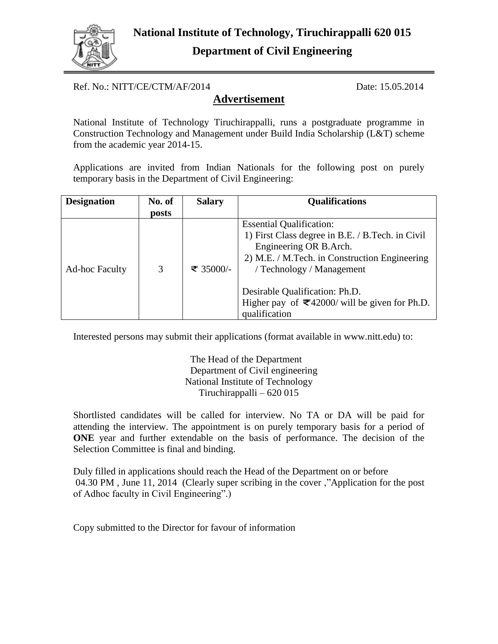

Ref. No.: NITT/CE/CTM/AF/2014 Date: 15.05.2014

## **Advertisement**

National Institute of Technology Tiruchirappalli, runs a postgraduate programme in Construction Technology and Management under Build India Scholarship (L&T) scheme from the academic year 2014-15.

Applications are invited from Indian Nationals for the following post on purely temporary basis in the Department of Civil Engineering:

| <b>Designation</b>    | No. of | <b>Salary</b> | <b>Qualifications</b>                                                                                                                                                                                                                                                                                                   |
|-----------------------|--------|---------------|-------------------------------------------------------------------------------------------------------------------------------------------------------------------------------------------------------------------------------------------------------------------------------------------------------------------------|
|                       | posts  |               |                                                                                                                                                                                                                                                                                                                         |
| <b>Ad-hoc Faculty</b> | 3      | ₹ 35000/-     | <b>Essential Qualification:</b><br>1) First Class degree in B.E. / B.Tech. in Civil<br>Engineering OR B.Arch.<br>2) M.E. / M.Tech. in Construction Engineering<br>/ Technology / Management<br>Desirable Qualification: Ph.D.<br>Higher pay of $\overline{\mathcal{Z}}$ 42000/ will be given for Ph.D.<br>qualification |

Interested persons may submit their applications (format available in www.nitt.edu) to:

The Head of the Department Department of Civil engineering National Institute of Technology Tiruchirappalli – 620 015

Shortlisted candidates will be called for interview. No TA or DA will be paid for attending the interview. The appointment is on purely temporary basis for a period of **ONE** year and further extendable on the basis of performance. The decision of the Selection Committee is final and binding.

Duly filled in applications should reach the Head of the Department on or before 04.30 PM, June 11, 2014 (Clearly super scribing in the cover, "Application for the post of Adhoc faculty in Civil Engineering".)

Copy submitted to the Director for favour of information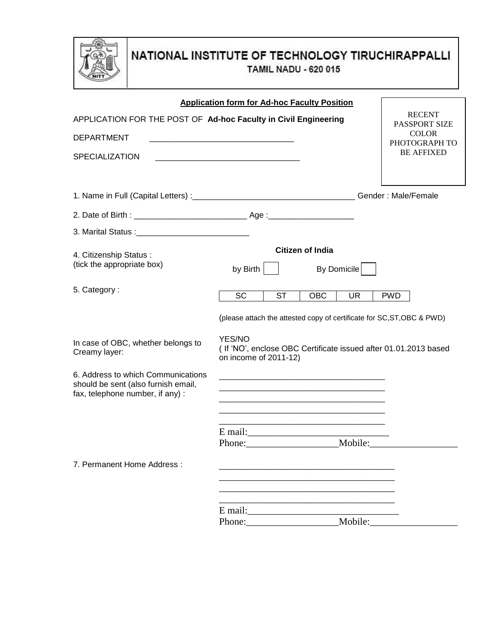

# NATIONAL INSTITUTE OF TECHNOLOGY TIRUCHIRAPPALLI **TAMIL NADU - 620 015**

| <b>RECENT</b><br>APPLICATION FOR THE POST OF Ad-hoc Faculty in Civil Engineering<br>PASSPORT SIZE<br><b>COLOR</b><br>PHOTOGRAPH TO<br><b>BE AFFIXED</b><br><b>Citizen of India</b><br>by Birth $\vert$ $\vert$<br>By Domicile<br><b>SC</b><br><b>ST</b><br><b>OBC</b><br><b>UR</b><br><b>PWD</b><br>(please attach the attested copy of certificate for SC, ST, OBC & PWD)<br>YES/NO<br>In case of OBC, whether belongs to<br>(If 'NO', enclose OBC Certificate issued after 01.01.2013 based<br>on income of 2011-12)<br><u> 1989 - Johann Barbara, markazi batar a shekara 1980 - Andrea Santana a shekara 1980 - Andrea Santana a shekar</u><br>E mail:<br>Phone:<br>Mobile: |                                                                                                               | <b>Application form for Ad-hoc Faculty Position</b> |  |
|---------------------------------------------------------------------------------------------------------------------------------------------------------------------------------------------------------------------------------------------------------------------------------------------------------------------------------------------------------------------------------------------------------------------------------------------------------------------------------------------------------------------------------------------------------------------------------------------------------------------------------------------------------------------------------|---------------------------------------------------------------------------------------------------------------|-----------------------------------------------------|--|
|                                                                                                                                                                                                                                                                                                                                                                                                                                                                                                                                                                                                                                                                                 |                                                                                                               |                                                     |  |
|                                                                                                                                                                                                                                                                                                                                                                                                                                                                                                                                                                                                                                                                                 | <b>DEPARTMENT</b>                                                                                             |                                                     |  |
|                                                                                                                                                                                                                                                                                                                                                                                                                                                                                                                                                                                                                                                                                 | <b>SPECIALIZATION</b>                                                                                         |                                                     |  |
|                                                                                                                                                                                                                                                                                                                                                                                                                                                                                                                                                                                                                                                                                 |                                                                                                               |                                                     |  |
|                                                                                                                                                                                                                                                                                                                                                                                                                                                                                                                                                                                                                                                                                 |                                                                                                               |                                                     |  |
|                                                                                                                                                                                                                                                                                                                                                                                                                                                                                                                                                                                                                                                                                 |                                                                                                               |                                                     |  |
|                                                                                                                                                                                                                                                                                                                                                                                                                                                                                                                                                                                                                                                                                 | 4. Citizenship Status:<br>(tick the appropriate box)                                                          |                                                     |  |
|                                                                                                                                                                                                                                                                                                                                                                                                                                                                                                                                                                                                                                                                                 | 5. Category:                                                                                                  |                                                     |  |
|                                                                                                                                                                                                                                                                                                                                                                                                                                                                                                                                                                                                                                                                                 |                                                                                                               |                                                     |  |
|                                                                                                                                                                                                                                                                                                                                                                                                                                                                                                                                                                                                                                                                                 | Creamy layer:                                                                                                 |                                                     |  |
|                                                                                                                                                                                                                                                                                                                                                                                                                                                                                                                                                                                                                                                                                 | 6. Address to which Communications<br>should be sent (also furnish email,<br>fax, telephone number, if any) : |                                                     |  |
|                                                                                                                                                                                                                                                                                                                                                                                                                                                                                                                                                                                                                                                                                 |                                                                                                               |                                                     |  |
|                                                                                                                                                                                                                                                                                                                                                                                                                                                                                                                                                                                                                                                                                 | 7. Permanent Home Address:                                                                                    |                                                     |  |
|                                                                                                                                                                                                                                                                                                                                                                                                                                                                                                                                                                                                                                                                                 |                                                                                                               |                                                     |  |
|                                                                                                                                                                                                                                                                                                                                                                                                                                                                                                                                                                                                                                                                                 |                                                                                                               |                                                     |  |
|                                                                                                                                                                                                                                                                                                                                                                                                                                                                                                                                                                                                                                                                                 |                                                                                                               |                                                     |  |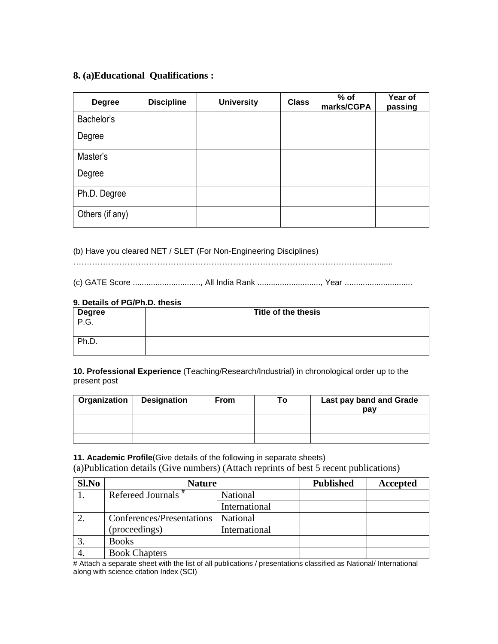### **8. (a)Educational Qualifications :**

| <b>Degree</b>   | <b>Discipline</b> | <b>University</b> | <b>Class</b> | $%$ of<br>marks/CGPA | Year of<br>passing |
|-----------------|-------------------|-------------------|--------------|----------------------|--------------------|
| Bachelor's      |                   |                   |              |                      |                    |
| Degree          |                   |                   |              |                      |                    |
| Master's        |                   |                   |              |                      |                    |
| Degree          |                   |                   |              |                      |                    |
| Ph.D. Degree    |                   |                   |              |                      |                    |
| Others (if any) |                   |                   |              |                      |                    |

(b) Have you cleared NET / SLET (For Non-Engineering Disciplines)

………………………………………………………………………………………………............

(c) GATE Score .............................., All India Rank ............................, Year ..............................

### **9. Details of PG/Ph.D. thesis**

| <b>Degree</b>         | Title of the thesis |
|-----------------------|---------------------|
| $\sim$ $\sim$<br>.ت.′ |                     |
| Ph.D.                 |                     |

**10. Professional Experience** (Teaching/Research/Industrial) in chronological order up to the present post

| Organization | <b>Designation</b> | <b>From</b> | To l | Last pay band and Grade<br>pay |
|--------------|--------------------|-------------|------|--------------------------------|
|              |                    |             |      |                                |
|              |                    |             |      |                                |
|              |                    |             |      |                                |

**11. Academic Profile**(Give details of the following in separate sheets)

(a)Publication details (Give numbers) (Attach reprints of best 5 recent publications)

| Sl.No | <b>Nature</b>                  |               | <b>Published</b> | Accepted |
|-------|--------------------------------|---------------|------------------|----------|
|       | Refereed Journals <sup>#</sup> | National      |                  |          |
|       |                                | International |                  |          |
|       | Conferences/Presentations      | National      |                  |          |
|       | (proceedings)                  | International |                  |          |
|       | <b>Books</b>                   |               |                  |          |
| 4.    | <b>Book Chapters</b>           |               |                  |          |

# Attach a separate sheet with the list of all publications / presentations classified as National/ International along with science citation Index (SCI)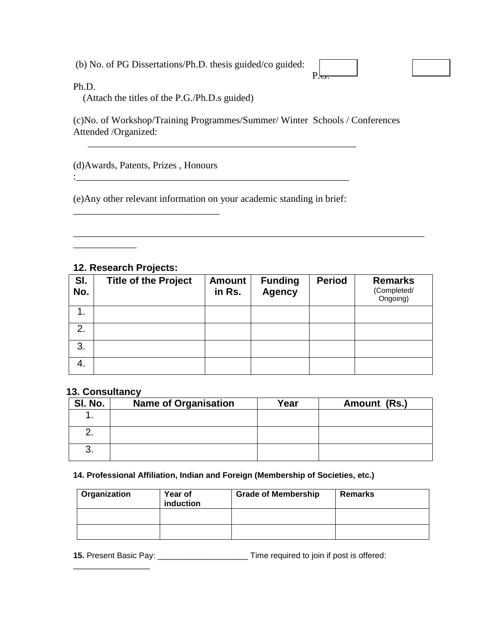(b) No. of PG Dissertations/Ph.D. thesis guided/co guided:

<u>P.<del>G.</del> Participants of the set of the set of the set of the set of the set of the set of the set of the set of the se</u>

Ph.D.

(Attach the titles of the P.G./Ph.D.s guided)

(c)No. of Workshop/Training Programmes/Summer/ Winter Schools / Conferences Attended /Organized:

(d)Awards, Patents, Prizes , Honours

\_\_\_\_\_\_\_\_\_\_\_\_\_\_\_\_\_\_\_\_\_\_\_\_\_\_\_\_\_\_

(e)Any other relevant information on your academic standing in brief:

:\_\_\_\_\_\_\_\_\_\_\_\_\_\_\_\_\_\_\_\_\_\_\_\_\_\_\_\_\_\_\_\_\_\_\_\_\_\_\_\_\_\_\_\_\_\_\_\_\_\_\_\_\_\_\_\_

\_\_\_\_\_\_\_\_\_\_\_\_\_\_\_\_\_\_\_\_\_\_\_\_\_\_\_\_\_\_\_\_\_\_\_\_\_\_\_\_\_\_\_\_\_\_\_\_\_\_\_\_\_\_\_

## **12. Research Projects:**

\_\_\_\_\_\_\_\_\_\_\_\_\_

| SI.<br>No. | <b>Title of the Project</b> | <b>Amount</b><br>in Rs. | <b>Funding</b><br><b>Agency</b> | <b>Period</b> | <b>Remarks</b><br>(Completed/<br>Ongoing) |
|------------|-----------------------------|-------------------------|---------------------------------|---------------|-------------------------------------------|
|            |                             |                         |                                 |               |                                           |
| 2.         |                             |                         |                                 |               |                                           |
| 3.         |                             |                         |                                 |               |                                           |
| 4.         |                             |                         |                                 |               |                                           |

\_\_\_\_\_\_\_\_\_\_\_\_\_\_\_\_\_\_\_\_\_\_\_\_\_\_\_\_\_\_\_\_\_\_\_\_\_\_\_\_\_\_\_\_\_\_\_\_\_\_\_\_\_\_\_\_\_\_\_\_\_\_\_\_\_\_\_\_\_\_\_\_

## **13. Consultancy**

| SI. No. | <b>Name of Organisation</b> | Year | Amount (Rs.) |
|---------|-----------------------------|------|--------------|
|         |                             |      |              |
|         |                             |      |              |
| J.      |                             |      |              |

### **14. Professional Affiliation, Indian and Foreign (Membership of Societies, etc.)**

| Organization | Year of<br>induction | <b>Grade of Membership</b> | <b>Remarks</b> |
|--------------|----------------------|----------------------------|----------------|
|              |                      |                            |                |
|              |                      |                            |                |

**15.** Present Basic Pay: \_\_\_\_\_\_\_\_\_\_\_\_\_\_\_\_\_\_\_\_ Time required to join if post is offered: \_\_\_\_\_\_\_\_\_\_\_\_\_\_\_\_\_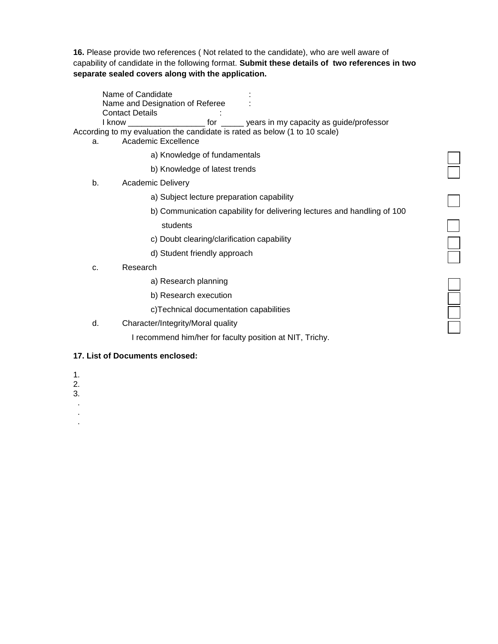**16.** Please provide two references ( Not related to the candidate), who are well aware of capability of candidate in the following format. **Submit these details of two references in two separate sealed covers along with the application.**

Name of Candidate : Name and Designation of Referee : Contact Details in the contact of the contact  $\sim$ I know the state of the state of the vears in my capacity as quide/professor According to my evaluation the candidate is rated as below (1 to 10 scale)

- a. Academic Excellence
	- a) Knowledge of fundamentals
	- b) Knowledge of latest trends
	- b. Academic Delivery
		- a) Subject lecture preparation capability
		- b) Communication capability for delivering lectures and handling of 100 students

- c) Doubt clearing/clarification capability
- d) Student friendly approach
- c. Research
	- a) Research planning
	- b) Research execution
	- c)Technical documentation capabilities
- d. Character/Integrity/Moral quality

I recommend him/her for faculty position at NIT, Trichy.

#### **17. List of Documents enclosed:**

- 1.
- 2.
- 3.
- .

 . .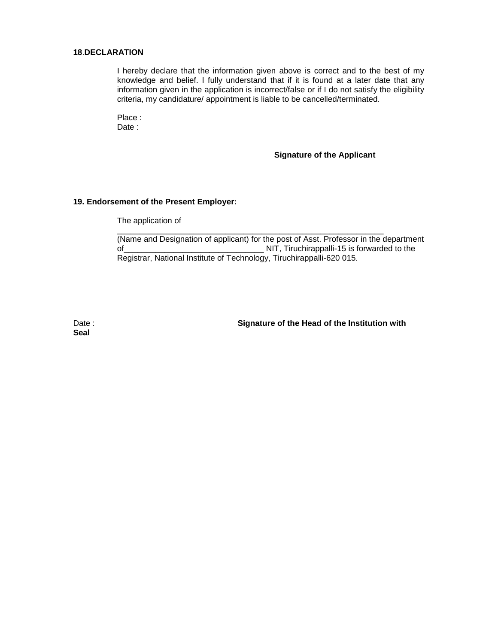#### **18**.**DECLARATION**

I hereby declare that the information given above is correct and to the best of my knowledge and belief. I fully understand that if it is found at a later date that any information given in the application is incorrect/false or if I do not satisfy the eligibility criteria, my candidature/ appointment is liable to be cancelled/terminated.

Place : Date :

#### **Signature of the Applicant**

#### **19. Endorsement of the Present Employer:**

The application of

(Name and Designation of applicant) for the post of Asst. Professor in the department of\_\_\_\_\_\_\_\_\_\_\_\_\_\_\_\_\_\_\_\_\_\_\_\_\_\_\_\_\_\_\_ NIT, Tiruchirappalli-15 is forwarded to the Registrar, National Institute of Technology, Tiruchirappalli-620 015.

\_\_\_\_\_\_\_\_\_\_\_\_\_\_\_\_\_\_\_\_\_\_\_\_\_\_\_\_\_\_\_\_\_\_\_\_\_\_\_\_\_\_\_\_\_\_\_\_\_\_\_\_\_\_\_\_\_\_\_

**Seal**

Date : **Signature of the Head of the Institution with Signature of the Head of the Institution with**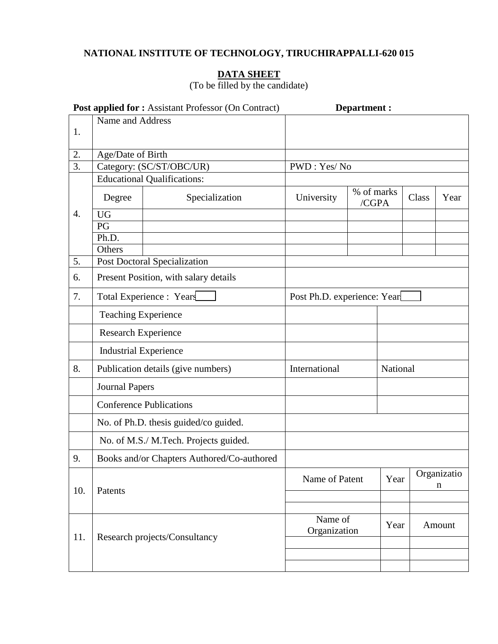# **NATIONAL INSTITUTE OF TECHNOLOGY, TIRUCHIRAPPALLI-620 015**

## **DATA SHEET**

(To be filled by the candidate)

|                  |                                | Post applied for: Assistant Professor (On Contract) |                             | <b>Department:</b>  |          |       |                            |
|------------------|--------------------------------|-----------------------------------------------------|-----------------------------|---------------------|----------|-------|----------------------------|
|                  | Name and Address               |                                                     |                             |                     |          |       |                            |
| 1.               |                                |                                                     |                             |                     |          |       |                            |
| 2.               | Age/Date of Birth              |                                                     |                             |                     |          |       |                            |
| $\overline{3}$ . |                                | Category: (SC/ST/OBC/UR)                            | PWD: Yes/No                 |                     |          |       |                            |
|                  |                                | <b>Educational Qualifications:</b>                  |                             |                     |          |       |                            |
|                  | Degree                         | Specialization                                      | University                  | % of marks<br>/CGPA |          | Class | Year                       |
| $\overline{4}$ . | <b>UG</b>                      |                                                     |                             |                     |          |       |                            |
|                  | PG                             |                                                     |                             |                     |          |       |                            |
|                  | Ph.D.                          |                                                     |                             |                     |          |       |                            |
| 5.               | Others                         | <b>Post Doctoral Specialization</b>                 |                             |                     |          |       |                            |
| 6.               |                                | Present Position, with salary details               |                             |                     |          |       |                            |
| 7.               |                                | Total Experience : Years                            | Post Ph.D. experience: Year |                     |          |       |                            |
|                  | <b>Teaching Experience</b>     |                                                     |                             |                     |          |       |                            |
|                  | Research Experience            |                                                     |                             |                     |          |       |                            |
|                  | <b>Industrial Experience</b>   |                                                     |                             |                     |          |       |                            |
| 8.               |                                | Publication details (give numbers)                  | International               |                     | National |       |                            |
|                  | <b>Journal Papers</b>          |                                                     |                             |                     |          |       |                            |
|                  | <b>Conference Publications</b> |                                                     |                             |                     |          |       |                            |
|                  |                                | No. of Ph.D. thesis guided/co guided.               |                             |                     |          |       |                            |
|                  |                                | No. of M.S./ M.Tech. Projects guided.               |                             |                     |          |       |                            |
| 9.               |                                | Books and/or Chapters Authored/Co-authored          |                             |                     |          |       |                            |
| 10.              | Patents                        |                                                     | Name of Patent              |                     | Year     |       | Organizatio<br>$\mathbf n$ |
|                  |                                |                                                     |                             |                     |          |       |                            |
|                  | Research projects/Consultancy  |                                                     | Name of<br>Organization     |                     | Year     |       | Amount                     |
| 11.              |                                |                                                     |                             |                     |          |       |                            |
|                  |                                |                                                     |                             |                     |          |       |                            |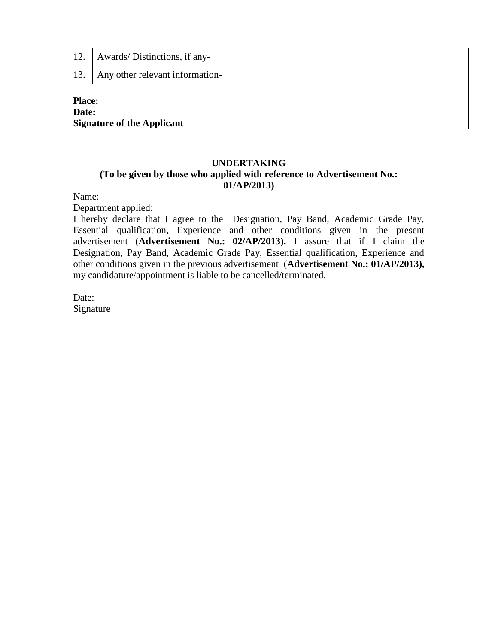| 12.                    | Awards/Distinctions, if any-      |  |  |
|------------------------|-----------------------------------|--|--|
| 13.                    | Any other relevant information-   |  |  |
| <b>Place:</b><br>Date: | <b>Signature of the Applicant</b> |  |  |

## **UNDERTAKING (To be given by those who applied with reference to Advertisement No.: 01/AP/2013)**

Name:

Department applied:

I hereby declare that I agree to the Designation, Pay Band, Academic Grade Pay, Essential qualification, Experience and other conditions given in the present advertisement (**Advertisement No.: 02/AP/2013).** I assure that if I claim the Designation, Pay Band, Academic Grade Pay, Essential qualification, Experience and other conditions given in the previous advertisement (**Advertisement No.: 01/AP/2013),**  my candidature/appointment is liable to be cancelled/terminated.

Date: Signature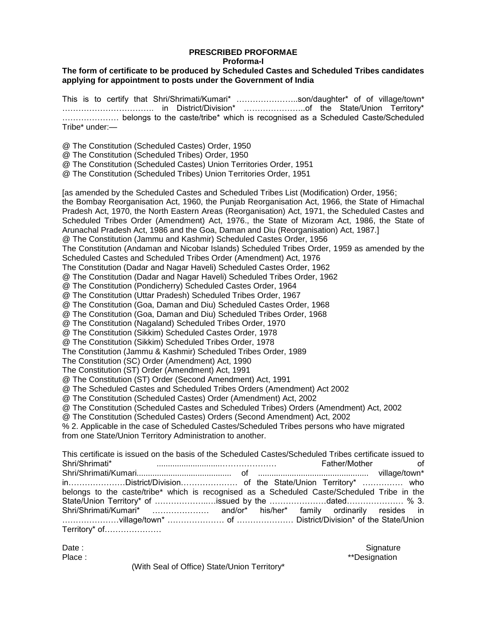### **PRESCRIBED PROFORMAE Proforma-I**

#### **The form of certificate to be produced by Scheduled Castes and Scheduled Tribes candidates applying for appointment to posts under the Government of India**

This is to certify that Shri/Shrimati/Kumari\* …………………..son/daughter\* of of village/town\* ……………………………. in District/Division\* …………………..of the State/Union Territory\* ………………… belongs to the caste/tribe\* which is recognised as a Scheduled Caste/Scheduled Tribe\* under:—

- @ The Constitution (Scheduled Castes) Order, 1950
- @ The Constitution (Scheduled Tribes) Order, 1950
- @ The Constitution (Scheduled Castes) Union Territories Order, 1951
- @ The Constitution (Scheduled Tribes) Union Territories Order, 1951

[as amended by the Scheduled Castes and Scheduled Tribes List (Modification) Order, 1956;

the Bombay Reorganisation Act, 1960, the Punjab Reorganisation Act, 1966, the State of Himachal Pradesh Act, 1970, the North Eastern Areas (Reorganisation) Act, 1971, the Scheduled Castes and Scheduled Tribes Order (Amendment) Act, 1976., the State of Mizoram Act, 1986, the State of Arunachal Pradesh Act, 1986 and the Goa, Daman and Diu (Reorganisation) Act, 1987.]

@ The Constitution (Jammu and Kashmir) Scheduled Castes Order, 1956

The Constitution (Andaman and Nicobar Islands) Scheduled Tribes Order, 1959 as amended by the Scheduled Castes and Scheduled Tribes Order (Amendment) Act, 1976

The Constitution (Dadar and Nagar Haveli) Scheduled Castes Order, 1962

@ The Constitution (Dadar and Nagar Haveli) Scheduled Tribes Order, 1962

@ The Constitution (Pondicherry) Scheduled Castes Order, 1964

@ The Constitution (Uttar Pradesh) Scheduled Tribes Order, 1967

@ The Constitution (Goa, Daman and Diu) Scheduled Castes Order, 1968

@ The Constitution (Goa, Daman and Diu) Scheduled Tribes Order, 1968

@ The Constitution (Nagaland) Scheduled Tribes Order, 1970

@ The Constitution (Sikkim) Scheduled Castes Order, 1978

@ The Constitution (Sikkim) Scheduled Tribes Order, 1978

The Constitution (Jammu & Kashmir) Scheduled Tribes Order, 1989

The Constitution (SC) Order (Amendment) Act, 1990

- The Constitution (ST) Order (Amendment) Act, 1991
- @ The Constitution (ST) Order (Second Amendment) Act, 1991

@ The Scheduled Castes and Scheduled Tribes Orders (Amendment) Act 2002

@ The Constitution (Scheduled Castes) Order (Amendment) Act, 2002

@ The Constitution (Scheduled Castes and Scheduled Tribes) Orders (Amendment) Act, 2002

@ The Constitution (Scheduled Castes) Orders (Second Amendment) Act, 2002

% 2. Applicable in the case of Scheduled Castes/Scheduled Tribes persons who have migrated from one State/Union Territory Administration to another.

|               | This certificate is issued on the basis of the Scheduled Castes/Scheduled Tribes certificate issued to |
|---------------|--------------------------------------------------------------------------------------------------------|
|               | Father/Mother of                                                                                       |
|               |                                                                                                        |
|               |                                                                                                        |
|               | belongs to the caste/tribe* which is recognised as a Scheduled Caste/Scheduled Tribe in the            |
|               |                                                                                                        |
|               | Shri/Shrimati/Kumari*  and/or* his/her* family ordinarily resides in                                   |
|               |                                                                                                        |
| Territory* of |                                                                                                        |

Date : Signature : Signature : Signature : Signature : Signature : Signature : Signature : Signature : Signature Place :  $**$ Designation

(With Seal of Office) State/Union Territory\*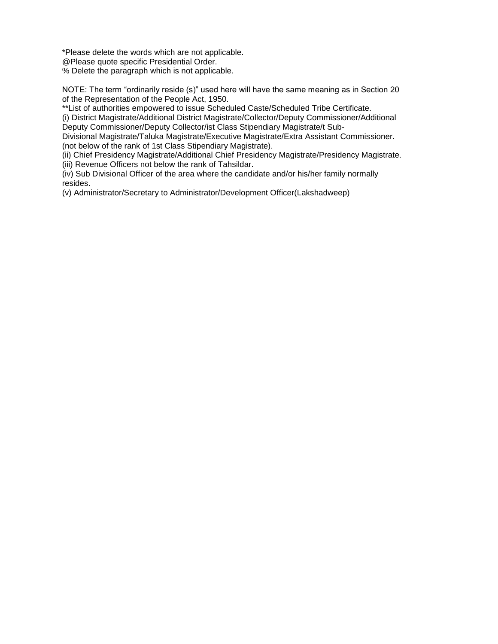\*Please delete the words which are not applicable.

@Please quote specific Presidential Order.

% Delete the paragraph which is not applicable.

NOTE: The term "ordinarily reside (s)" used here will have the same meaning as in Section 20 of the Representation of the People Act, 1950.

\*\*List of authorities empowered to issue Scheduled Caste/Scheduled Tribe Certificate. (i) District Magistrate/Additional District Magistrate/Collector/Deputy Commissioner/Additional Deputy Commissioner/Deputy Collector/ist Class Stipendiary Magistrate/t Sub-

Divisional Magistrate/Taluka Magistrate/Executive Magistrate/Extra Assistant Commissioner. (not below of the rank of 1st Class Stipendiary Magistrate).

(ii) Chief Presidency Magistrate/Additional Chief Presidency Magistrate/Presidency Magistrate.

(iii) Revenue Officers not below the rank of Tahsildar.

(iv) Sub Divisional Officer of the area where the candidate and/or his/her family normally resides.

(v) Administrator/Secretary to Administrator/Development Officer(Lakshadweep)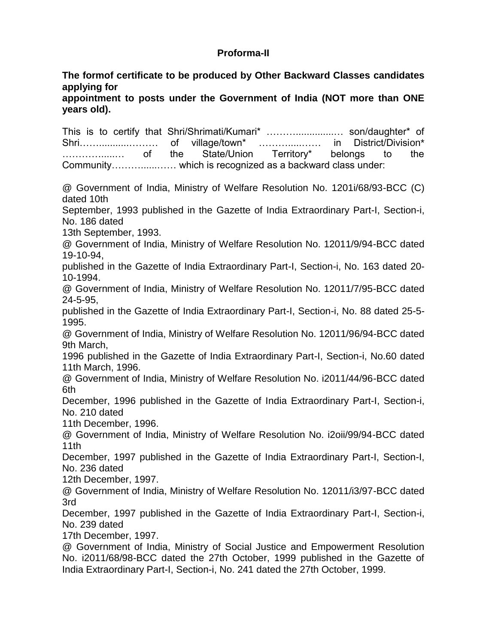## **Proforma-II**

**The formof certificate to be produced by Other Backward Classes candidates applying for**

**appointment to posts under the Government of India (NOT more than ONE years old).**

This is to certify that Shri/Shrimati/Kumari\* ………..............… son/daughter\* of Shri……...........……… of village/town\* ……….....…… in District/Division\* ………….....… of the State/Union Territory\* belongs to the Community………......…… which is recognized as a backward class under:

@ Government of India, Ministry of Welfare Resolution No. 1201i/68/93-BCC (C) dated 10th

September, 1993 published in the Gazette of India Extraordinary Part-I, Section-i, No. 186 dated

13th September, 1993.

@ Government of India, Ministry of Welfare Resolution No. 12011/9/94-BCC dated 19-10-94,

published in the Gazette of India Extraordinary Part-I, Section-i, No. 163 dated 20- 10-1994.

@ Government of India, Ministry of Welfare Resolution No. 12011/7/95-BCC dated 24-5-95,

published in the Gazette of India Extraordinary Part-I, Section-i, No. 88 dated 25-5- 1995.

@ Government of India, Ministry of Welfare Resolution No. 12011/96/94-BCC dated 9th March,

1996 published in the Gazette of India Extraordinary Part-I, Section-i, No.60 dated 11th March, 1996.

@ Government of India, Ministry of Welfare Resolution No. i2011/44/96-BCC dated 6th

December, 1996 published in the Gazette of India Extraordinary Part-I, Section-i, No. 210 dated

11th December, 1996.

@ Government of India, Ministry of Welfare Resolution No. i2oii/99/94-BCC dated 11th

December, 1997 published in the Gazette of India Extraordinary Part-I, Section-I, No. 236 dated

12th December, 1997.

@ Government of India, Ministry of Welfare Resolution No. 12011/i3/97-BCC dated 3rd

December, 1997 published in the Gazette of India Extraordinary Part-I, Section-i, No. 239 dated

17th December, 1997.

@ Government of India, Ministry of Social Justice and Empowerment Resolution No. i2011/68/98-BCC dated the 27th October, 1999 published in the Gazette of India Extraordinary Part-I, Section-i, No. 241 dated the 27th October, 1999.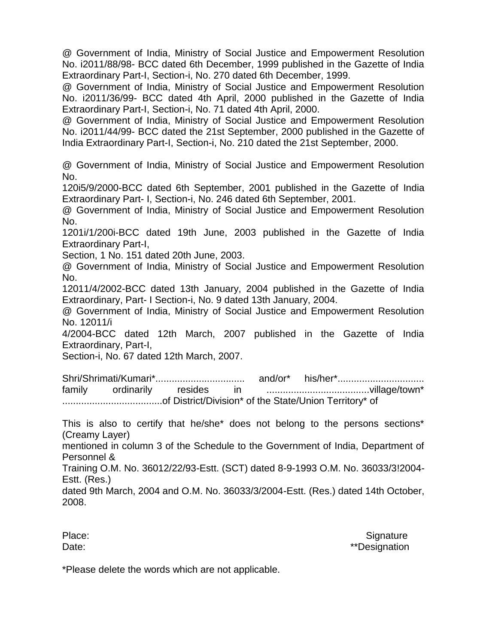@ Government of India, Ministry of Social Justice and Empowerment Resolution No. i2011/88/98- BCC dated 6th December, 1999 published in the Gazette of India Extraordinary Part-I, Section-i, No. 270 dated 6th December, 1999.

@ Government of India, Ministry of Social Justice and Empowerment Resolution No. i2011/36/99- BCC dated 4th April, 2000 published in the Gazette of India Extraordinary Part-I, Section-i, No. 71 dated 4th April, 2000.

@ Government of India, Ministry of Social Justice and Empowerment Resolution No. i2011/44/99- BCC dated the 21st September, 2000 published in the Gazette of India Extraordinary Part-I, Section-i, No. 210 dated the 21st September, 2000.

@ Government of India, Ministry of Social Justice and Empowerment Resolution No.

120i5/9/2000-BCC dated 6th September, 2001 published in the Gazette of India Extraordinary Part- I, Section-i, No. 246 dated 6th September, 2001.

@ Government of India, Ministry of Social Justice and Empowerment Resolution No.

1201i/1/200i-BCC dated 19th June, 2003 published in the Gazette of India Extraordinary Part-I,

Section, 1 No. 151 dated 20th June, 2003.

@ Government of India, Ministry of Social Justice and Empowerment Resolution No.

12011/4/2002-BCC dated 13th January, 2004 published in the Gazette of India Extraordinary, Part- I Section-i, No. 9 dated 13th January, 2004.

@ Government of India, Ministry of Social Justice and Empowerment Resolution No. 12011/i

4/2004-BCC dated 12th March, 2007 published in the Gazette of India Extraordinary, Part-I,

Section-i, No. 67 dated 12th March, 2007.

Shri/Shrimati/Kumari\*................................. and/or\* his/her\*................................ family ordinarily resides in ......................................village/town\* .....................................of District/Division\* of the State/Union Territory\* of

This is also to certify that he/she\* does not belong to the persons sections\* (Creamy Layer)

mentioned in column 3 of the Schedule to the Government of India, Department of Personnel &

Training O.M. No. 36012/22/93-Estt. (SCT) dated 8-9-1993 O.M. No. 36033/3!2004- Estt. (Res.)

dated 9th March, 2004 and O.M. No. 36033/3/2004-Estt. (Res.) dated 14th October, 2008.

Place: Signature Signature Signature Signature Signature Signature Signature Signature Signature Signature Signature Date:  $\bullet$  \*\*Designation

\*Please delete the words which are not applicable.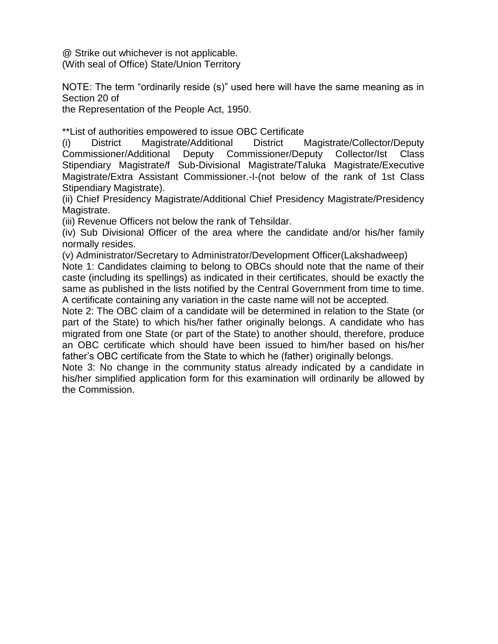@ Strike out whichever is not applicable. (With seal of Office) State/Union Territory

NOTE: The term "ordinarily reside (s)" used here will have the same meaning as in Section 20 of

the Representation of the People Act, 1950.

\*\*List of authorities empowered to issue OBC Certificate

(i) District Magistrate/Additional District Magistrate/Collector/Deputy Commissioner/Additional Deputy Commissioner/Deputy Collector/Ist Class Stipendiary Magistrate/f Sub-Divisional Magistrate/Taluka Magistrate/Executive Magistrate/Extra Assistant Commissioner.-I-(not below of the rank of 1st Class Stipendiary Magistrate).

(ii) Chief Presidency Magistrate/Additional Chief Presidency Magistrate/Presidency Magistrate.

(iii) Revenue Officers not below the rank of Tehsildar.

(iv) Sub Divisional Officer of the area where the candidate and/or his/her family normally resides.

(v) Administrator/Secretary to Administrator/Development Officer(Lakshadweep) Note 1: Candidates claiming to belong to OBCs should note that the name of their caste (including its spellings) as indicated in their certificates, should be exactly the same as published in the lists notified by the Central Government from time to time. A certificate containing any variation in the caste name will not be accepted.

Note 2: The OBC claim of a candidate will be determined in relation to the State (or part of the State) to which his/her father originally belongs. A candidate who has migrated from one State (or part of the State) to another should, therefore, produce an OBC certificate which should have been issued to him/her based on his/her father"s OBC certificate from the State to which he (father) originally belongs.

Note 3: No change in the community status already indicated by a candidate in his/her simplified application form for this examination will ordinarily be allowed by the Commission.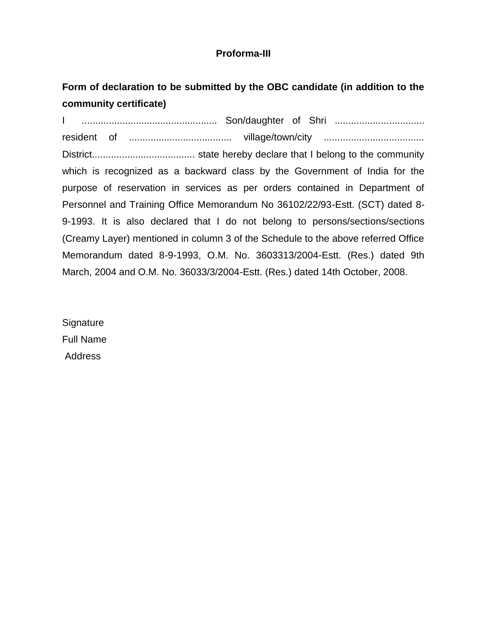## **Proforma-III**

# **Form of declaration to be submitted by the OBC candidate (in addition to the community certificate)**

I .................................................. Son/daughter of Shri ................................. resident of ...................................... village/town/city ..................................... District...................................... state hereby declare that I belong to the community which is recognized as a backward class by the Government of India for the purpose of reservation in services as per orders contained in Department of Personnel and Training Office Memorandum No 36102/22/93-Estt. (SCT) dated 8- 9-1993. It is also declared that I do not belong to persons/sections/sections (Creamy Layer) mentioned in column 3 of the Schedule to the above referred Office Memorandum dated 8-9-1993, O.M. No. 3603313/2004-Estt. (Res.) dated 9th March, 2004 and O.M. No. 36033/3/2004-Estt. (Res.) dated 14th October, 2008.

**Signature** Full Name Address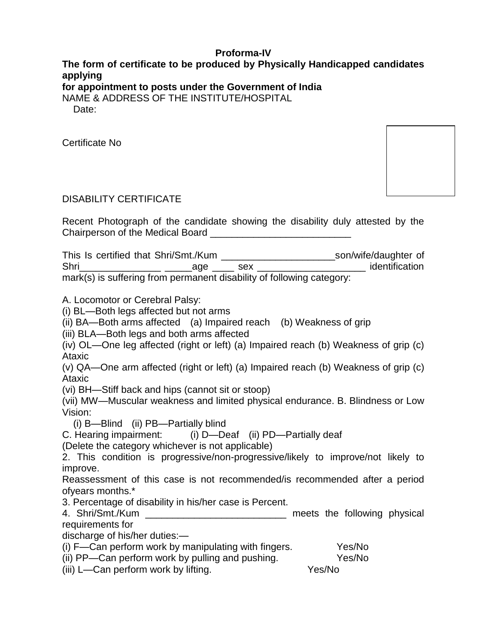## **Proforma-IV**

# **The form of certificate to be produced by Physically Handicapped candidates applying**

**for appointment to posts under the Government of India**

NAME & ADDRESS OF THE INSTITUTE/HOSPITAL

Date:

Certificate No

## DISABILITY CERTIFICATE

Recent Photograph of the candidate showing the disability duly attested by the Chairperson of the Medical Board **Example 20** 

This Is certified that Shri/Smt./Kum \_\_\_\_\_\_\_\_\_\_\_\_\_\_\_\_\_\_\_\_\_son/wife/daughter of Shri\_\_\_\_\_\_\_\_\_\_\_\_\_\_\_ \_\_\_\_\_age \_\_\_\_ sex \_\_\_\_\_\_\_\_\_\_\_\_\_\_\_\_\_\_\_\_ identification mark(s) is suffering from permanent disability of following category:

A. Locomotor or Cerebral Palsy:

(i) BL—Both legs affected but not arms

(ii) BA—Both arms affected (a) Impaired reach (b) Weakness of grip

(iii) BLA—Both legs and both arms affected

(iv) OL—One leg affected (right or left) (a) Impaired reach (b) Weakness of grip (c) Ataxic

(v) QA—One arm affected (right or left) (a) Impaired reach (b) Weakness of grip (c) Ataxic

(vi) BH—Stiff back and hips (cannot sit or stoop)

(vii) MW—Muscular weakness and limited physical endurance. B. Blindness or Low Vision:

(i) B—Blind (ii) PB—Partially blind

C. Hearing impairment: (i) D—Deaf (ii) PD—Partially deaf

(Delete the category whichever is not applicable)

2. This condition is progressive/non-progressive/likely to improve/not likely to improve.

Reassessment of this case is not recommended/is recommended after a period ofyears months.\*

3. Percentage of disability in his/her case is Percent.

4. Shri/Smt./Kum \_\_\_\_\_\_\_\_\_\_\_\_\_\_\_\_\_\_\_\_\_\_\_\_\_\_ meets the following physical requirements for

discharge of his/her duties:—

(i) F—Can perform work by manipulating with fingers. Yes/No

(ii) PP—Can perform work by pulling and pushing. Yes/No

(iii) L—Can perform work by lifting. Yes/No